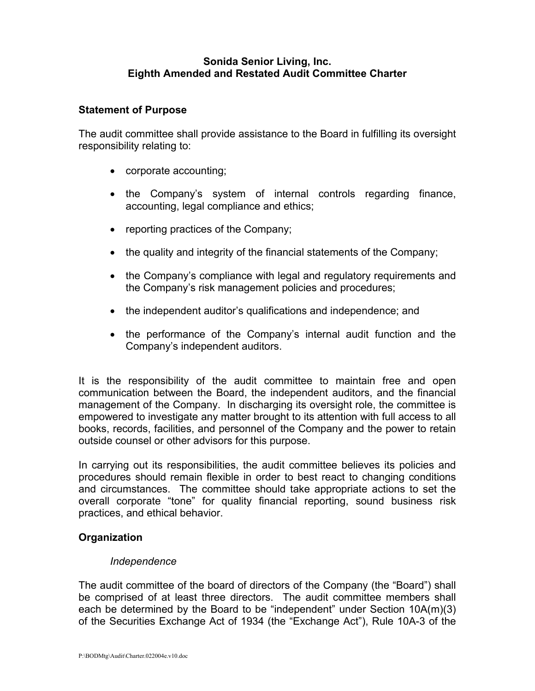## **Sonida Senior Living, Inc. Eighth Amended and Restated Audit Committee Charter**

### **Statement of Purpose**

The audit committee shall provide assistance to the Board in fulfilling its oversight responsibility relating to:

- corporate accounting;
- the Company's system of internal controls regarding finance, accounting, legal compliance and ethics;
- reporting practices of the Company;
- the quality and integrity of the financial statements of the Company;
- the Company's compliance with legal and regulatory requirements and the Company's risk management policies and procedures;
- the independent auditor's qualifications and independence; and
- the performance of the Company's internal audit function and the Company's independent auditors.

It is the responsibility of the audit committee to maintain free and open communication between the Board, the independent auditors, and the financial management of the Company. In discharging its oversight role, the committee is empowered to investigate any matter brought to its attention with full access to all books, records, facilities, and personnel of the Company and the power to retain outside counsel or other advisors for this purpose.

In carrying out its responsibilities, the audit committee believes its policies and procedures should remain flexible in order to best react to changing conditions and circumstances. The committee should take appropriate actions to set the overall corporate "tone" for quality financial reporting, sound business risk practices, and ethical behavior.

## **Organization**

## *Independence*

The audit committee of the board of directors of the Company (the "Board") shall be comprised of at least three directors. The audit committee members shall each be determined by the Board to be "independent" under Section 10A(m)(3) of the Securities Exchange Act of 1934 (the "Exchange Act"), Rule 10A-3 of the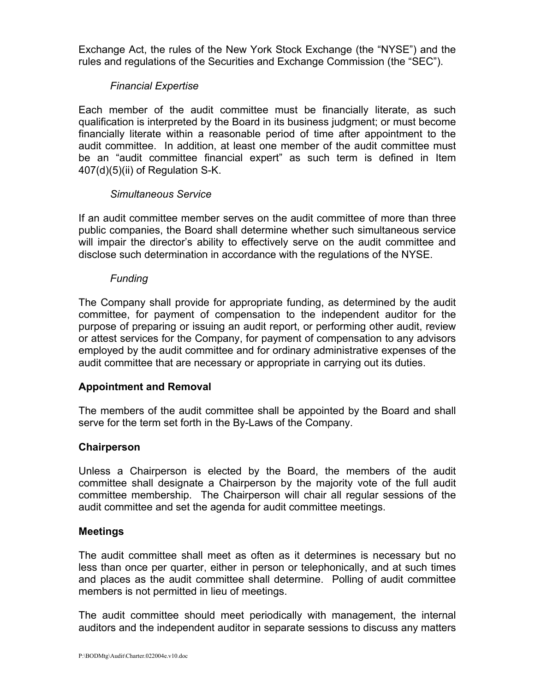Exchange Act, the rules of the New York Stock Exchange (the "NYSE") and the rules and regulations of the Securities and Exchange Commission (the "SEC").

## *Financial Expertise*

Each member of the audit committee must be financially literate, as such qualification is interpreted by the Board in its business judgment; or must become financially literate within a reasonable period of time after appointment to the audit committee. In addition, at least one member of the audit committee must be an "audit committee financial expert" as such term is defined in Item 407(d)(5)(ii) of Regulation S-K.

## *Simultaneous Service*

If an audit committee member serves on the audit committee of more than three public companies, the Board shall determine whether such simultaneous service will impair the director's ability to effectively serve on the audit committee and disclose such determination in accordance with the regulations of the NYSE.

#### *Funding*

The Company shall provide for appropriate funding, as determined by the audit committee, for payment of compensation to the independent auditor for the purpose of preparing or issuing an audit report, or performing other audit, review or attest services for the Company, for payment of compensation to any advisors employed by the audit committee and for ordinary administrative expenses of the audit committee that are necessary or appropriate in carrying out its duties.

## **Appointment and Removal**

The members of the audit committee shall be appointed by the Board and shall serve for the term set forth in the By-Laws of the Company.

#### **Chairperson**

Unless a Chairperson is elected by the Board, the members of the audit committee shall designate a Chairperson by the majority vote of the full audit committee membership. The Chairperson will chair all regular sessions of the audit committee and set the agenda for audit committee meetings.

#### **Meetings**

The audit committee shall meet as often as it determines is necessary but no less than once per quarter, either in person or telephonically, and at such times and places as the audit committee shall determine. Polling of audit committee members is not permitted in lieu of meetings.

The audit committee should meet periodically with management, the internal auditors and the independent auditor in separate sessions to discuss any matters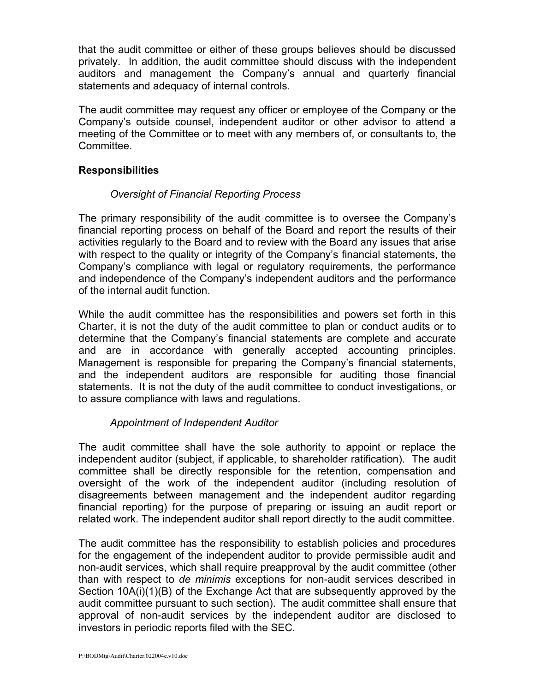that the audit committee or either of these groups believes should be discussed privately. In addition, the audit committee should discuss with the independent auditors and management the Company's annual and quarterly financial statements and adequacy of internal controls.

The audit committee may request any officer or employee of the Company or the Company's outside counsel, independent auditor or other advisor to attend a meeting of the Committee or to meet with any members of, or consultants to, the Committee.

## **Responsibilities**

## *Oversight of Financial Reporting Process*

The primary responsibility of the audit committee is to oversee the Company's financial reporting process on behalf of the Board and report the results of their activities regularly to the Board and to review with the Board any issues that arise with respect to the quality or integrity of the Company's financial statements, the Company's compliance with legal or regulatory requirements, the performance and independence of the Company's independent auditors and the performance of the internal audit function.

While the audit committee has the responsibilities and powers set forth in this Charter, it is not the duty of the audit committee to plan or conduct audits or to determine that the Company's financial statements are complete and accurate and are in accordance with generally accepted accounting principles. Management is responsible for preparing the Company's financial statements, and the independent auditors are responsible for auditing those financial statements. It is not the duty of the audit committee to conduct investigations, or to assure compliance with laws and regulations.

# *Appointment of Independent Auditor*

The audit committee shall have the sole authority to appoint or replace the independent auditor (subject, if applicable, to shareholder ratification). The audit committee shall be directly responsible for the retention, compensation and oversight of the work of the independent auditor (including resolution of disagreements between management and the independent auditor regarding financial reporting) for the purpose of preparing or issuing an audit report or related work. The independent auditor shall report directly to the audit committee.

The audit committee has the responsibility to establish policies and procedures for the engagement of the independent auditor to provide permissible audit and non-audit services, which shall require preapproval by the audit committee (other than with respect to *de minimis* exceptions for non-audit services described in Section 10A(i)(1)(B) of the Exchange Act that are subsequently approved by the audit committee pursuant to such section). The audit committee shall ensure that approval of non-audit services by the independent auditor are disclosed to investors in periodic reports filed with the SEC.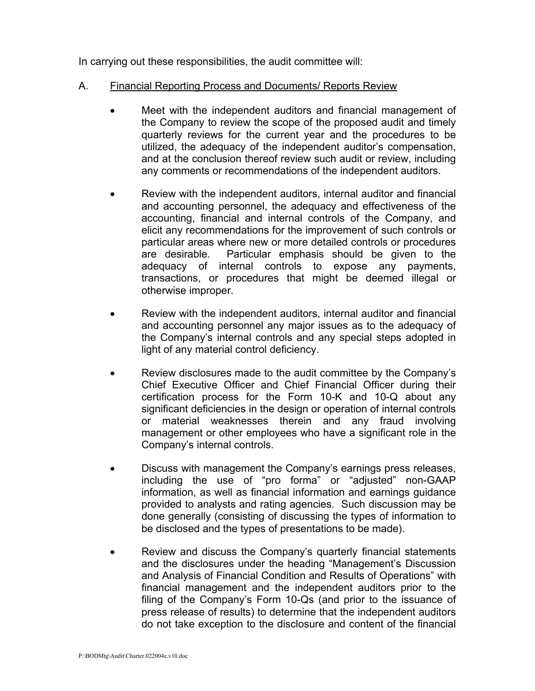In carrying out these responsibilities, the audit committee will:

- A. Financial Reporting Process and Documents/ Reports Review
	- Meet with the independent auditors and financial management of the Company to review the scope of the proposed audit and timely quarterly reviews for the current year and the procedures to be utilized, the adequacy of the independent auditor's compensation, and at the conclusion thereof review such audit or review, including any comments or recommendations of the independent auditors.
	- Review with the independent auditors, internal auditor and financial and accounting personnel, the adequacy and effectiveness of the accounting, financial and internal controls of the Company, and elicit any recommendations for the improvement of such controls or particular areas where new or more detailed controls or procedures are desirable. Particular emphasis should be given to the adequacy of internal controls to expose any payments, transactions, or procedures that might be deemed illegal or otherwise improper.
	- Review with the independent auditors, internal auditor and financial and accounting personnel any major issues as to the adequacy of the Company's internal controls and any special steps adopted in light of any material control deficiency.
	- Review disclosures made to the audit committee by the Company's Chief Executive Officer and Chief Financial Officer during their certification process for the Form 10-K and 10-Q about any significant deficiencies in the design or operation of internal controls or material weaknesses therein and any fraud involving management or other employees who have a significant role in the Company's internal controls.
	- Discuss with management the Company's earnings press releases, including the use of "pro forma" or "adjusted" non-GAAP information, as well as financial information and earnings guidance provided to analysts and rating agencies. Such discussion may be done generally (consisting of discussing the types of information to be disclosed and the types of presentations to be made).
	- Review and discuss the Company's quarterly financial statements and the disclosures under the heading "Management's Discussion and Analysis of Financial Condition and Results of Operations" with financial management and the independent auditors prior to the filing of the Company's Form 10-Qs (and prior to the issuance of press release of results) to determine that the independent auditors do not take exception to the disclosure and content of the financial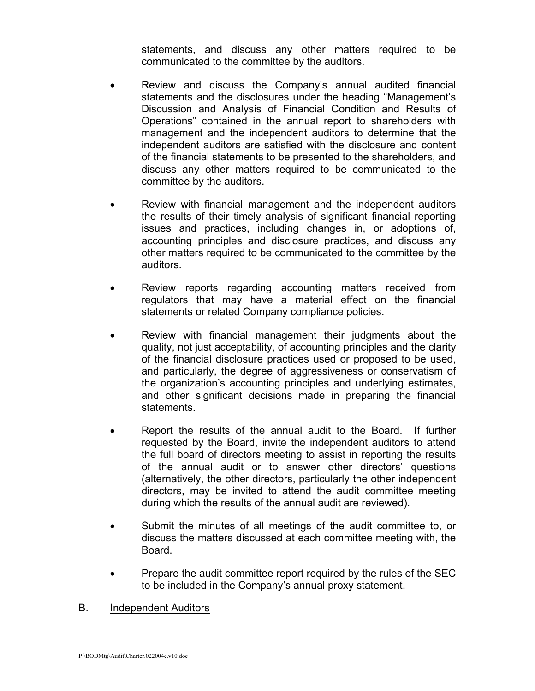statements, and discuss any other matters required to be communicated to the committee by the auditors.

- Review and discuss the Company's annual audited financial statements and the disclosures under the heading "Management's Discussion and Analysis of Financial Condition and Results of Operations" contained in the annual report to shareholders with management and the independent auditors to determine that the independent auditors are satisfied with the disclosure and content of the financial statements to be presented to the shareholders, and discuss any other matters required to be communicated to the committee by the auditors.
- Review with financial management and the independent auditors the results of their timely analysis of significant financial reporting issues and practices, including changes in, or adoptions of, accounting principles and disclosure practices, and discuss any other matters required to be communicated to the committee by the auditors.
- Review reports regarding accounting matters received from regulators that may have a material effect on the financial statements or related Company compliance policies.
- Review with financial management their judgments about the quality, not just acceptability, of accounting principles and the clarity of the financial disclosure practices used or proposed to be used, and particularly, the degree of aggressiveness or conservatism of the organization's accounting principles and underlying estimates, and other significant decisions made in preparing the financial statements.
- Report the results of the annual audit to the Board. If further requested by the Board, invite the independent auditors to attend the full board of directors meeting to assist in reporting the results of the annual audit or to answer other directors' questions (alternatively, the other directors, particularly the other independent directors, may be invited to attend the audit committee meeting during which the results of the annual audit are reviewed).
- Submit the minutes of all meetings of the audit committee to, or discuss the matters discussed at each committee meeting with, the Board.
- Prepare the audit committee report required by the rules of the SEC to be included in the Company's annual proxy statement.

## B. Independent Auditors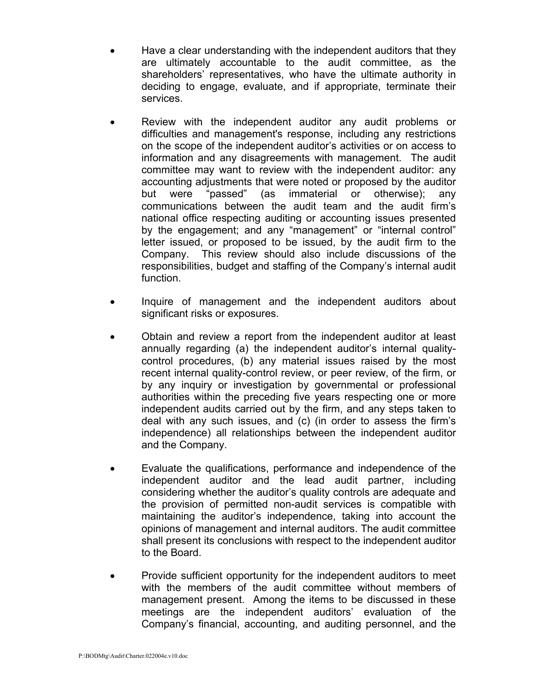- Have a clear understanding with the independent auditors that they are ultimately accountable to the audit committee, as the shareholders' representatives, who have the ultimate authority in deciding to engage, evaluate, and if appropriate, terminate their services.
- Review with the independent auditor any audit problems or difficulties and management's response, including any restrictions on the scope of the independent auditor's activities or on access to information and any disagreements with management. The audit committee may want to review with the independent auditor: any accounting adjustments that were noted or proposed by the auditor but were "passed" (as immaterial or otherwise); any communications between the audit team and the audit firm's national office respecting auditing or accounting issues presented by the engagement; and any "management" or "internal control" letter issued, or proposed to be issued, by the audit firm to the Company. This review should also include discussions of the responsibilities, budget and staffing of the Company's internal audit function.
- Inquire of management and the independent auditors about significant risks or exposures.
- Obtain and review a report from the independent auditor at least annually regarding (a) the independent auditor's internal qualitycontrol procedures, (b) any material issues raised by the most recent internal quality-control review, or peer review, of the firm, or by any inquiry or investigation by governmental or professional authorities within the preceding five years respecting one or more independent audits carried out by the firm, and any steps taken to deal with any such issues, and (c) (in order to assess the firm's independence) all relationships between the independent auditor and the Company.
- Evaluate the qualifications, performance and independence of the independent auditor and the lead audit partner, including considering whether the auditor's quality controls are adequate and the provision of permitted non-audit services is compatible with maintaining the auditor's independence, taking into account the opinions of management and internal auditors. The audit committee shall present its conclusions with respect to the independent auditor to the Board.
- Provide sufficient opportunity for the independent auditors to meet with the members of the audit committee without members of management present. Among the items to be discussed in these meetings are the independent auditors' evaluation of the Company's financial, accounting, and auditing personnel, and the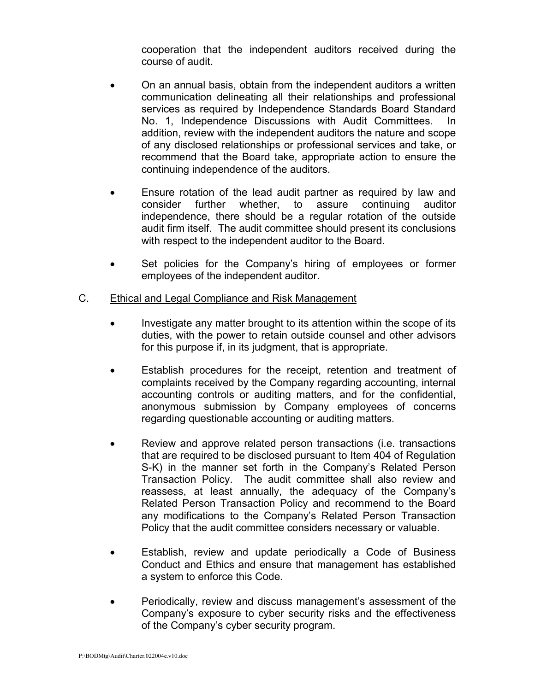cooperation that the independent auditors received during the course of audit.

- On an annual basis, obtain from the independent auditors a written communication delineating all their relationships and professional services as required by Independence Standards Board Standard No. 1, Independence Discussions with Audit Committees. In addition, review with the independent auditors the nature and scope of any disclosed relationships or professional services and take, or recommend that the Board take, appropriate action to ensure the continuing independence of the auditors.
- Ensure rotation of the lead audit partner as required by law and consider further whether, to assure continuing auditor independence, there should be a regular rotation of the outside audit firm itself. The audit committee should present its conclusions with respect to the independent auditor to the Board.
- Set policies for the Company's hiring of employees or former employees of the independent auditor.

## C. Ethical and Legal Compliance and Risk Management

- Investigate any matter brought to its attention within the scope of its duties, with the power to retain outside counsel and other advisors for this purpose if, in its judgment, that is appropriate.
- Establish procedures for the receipt, retention and treatment of complaints received by the Company regarding accounting, internal accounting controls or auditing matters, and for the confidential, anonymous submission by Company employees of concerns regarding questionable accounting or auditing matters.
- Review and approve related person transactions (i.e. transactions that are required to be disclosed pursuant to Item 404 of Regulation S-K) in the manner set forth in the Company's Related Person Transaction Policy. The audit committee shall also review and reassess, at least annually, the adequacy of the Company's Related Person Transaction Policy and recommend to the Board any modifications to the Company's Related Person Transaction Policy that the audit committee considers necessary or valuable.
- Establish, review and update periodically a Code of Business Conduct and Ethics and ensure that management has established a system to enforce this Code.
- Periodically, review and discuss management's assessment of the Company's exposure to cyber security risks and the effectiveness of the Company's cyber security program.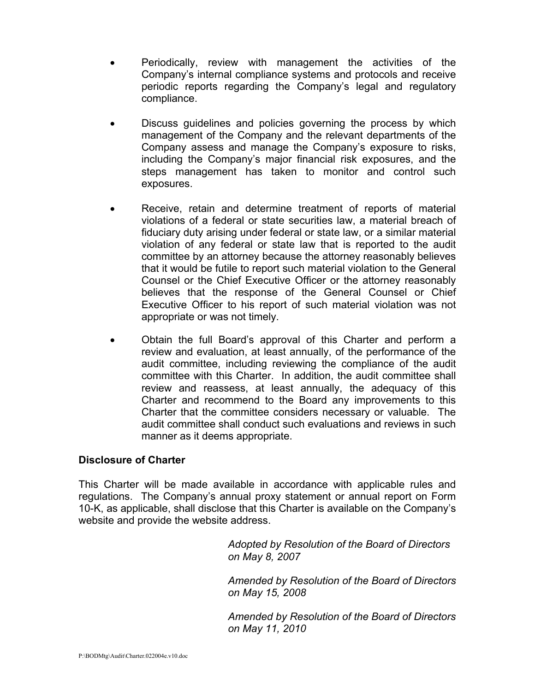- Periodically, review with management the activities of the Company's internal compliance systems and protocols and receive periodic reports regarding the Company's legal and regulatory compliance.
- Discuss guidelines and policies governing the process by which management of the Company and the relevant departments of the Company assess and manage the Company's exposure to risks, including the Company's major financial risk exposures, and the steps management has taken to monitor and control such exposures.
- Receive, retain and determine treatment of reports of material violations of a federal or state securities law, a material breach of fiduciary duty arising under federal or state law, or a similar material violation of any federal or state law that is reported to the audit committee by an attorney because the attorney reasonably believes that it would be futile to report such material violation to the General Counsel or the Chief Executive Officer or the attorney reasonably believes that the response of the General Counsel or Chief Executive Officer to his report of such material violation was not appropriate or was not timely.
- Obtain the full Board's approval of this Charter and perform a review and evaluation, at least annually, of the performance of the audit committee, including reviewing the compliance of the audit committee with this Charter. In addition, the audit committee shall review and reassess, at least annually, the adequacy of this Charter and recommend to the Board any improvements to this Charter that the committee considers necessary or valuable. The audit committee shall conduct such evaluations and reviews in such manner as it deems appropriate.

## **Disclosure of Charter**

This Charter will be made available in accordance with applicable rules and regulations.The Company's annual proxy statement or annual report on Form 10-K, as applicable, shall disclose that this Charter is available on the Company's website and provide the website address.

> *Adopted by Resolution of the Board of Directors on May 8, 2007*

*Amended by Resolution of the Board of Directors on May 15, 2008*

*Amended by Resolution of the Board of Directors on May 11, 2010*